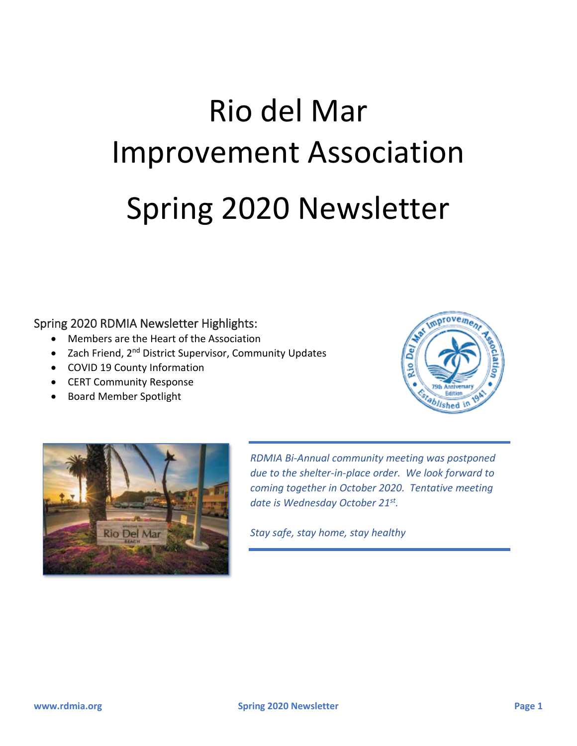# Rio del Mar Improvement Association Spring 2020 Newsletter

#### Spring 2020 RDMIA Newsletter Highlights:

- Members are the Heart of the Association
- Zach Friend, 2<sup>nd</sup> District Supervisor, Community Updates
- COVID 19 County Information
- CERT Community Response
- Board Member Spotlight





*RDMIA Bi-Annual community meeting was postponed due to the shelter-in-place order. We look forward to coming together in October 2020. Tentative meeting date is Wednesday October 21st .*

*Stay safe, stay home, stay healthy*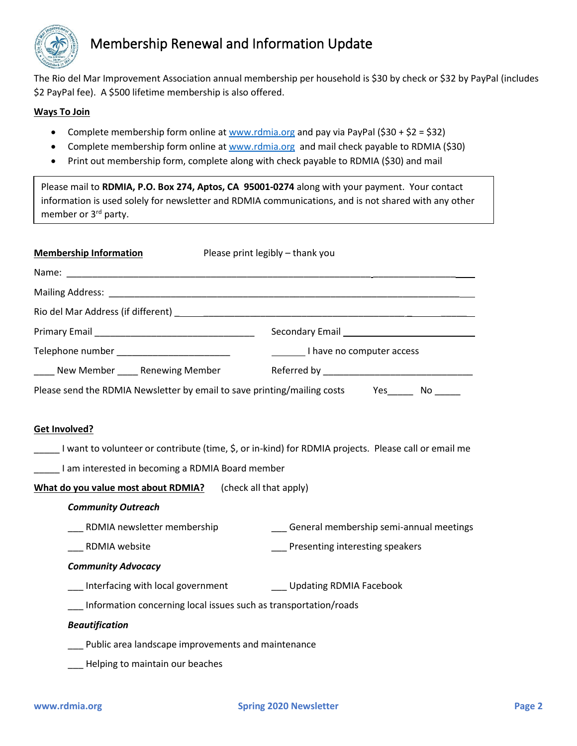

# Membership Renewal and Information Update

The Rio del Mar Improvement Association annual membership per household is \$30 by check or \$32 by PayPal (includes \$2 PayPal fee). A \$500 lifetime membership is also offered.

#### **Ways To Join**

- Complete membership form online at [www.rdmia.org](http://www.rdmia.org/) and pay via PayPal  $(530 + 52 = 532)$
- Complete membership form online at [www.rdmia.org](http://www.rdmia.org/) and mail check payable to RDMIA (\$30)
- Print out membership form, complete along with check payable to RDMIA (\$30) and mail

Please mail to **RDMIA, P.O. Box 274, Aptos, CA 95001-0274** along with your payment. Your contact information is used solely for newsletter and RDMIA communications, and is not shared with any other member or 3<sup>rd</sup> party.

| <b>Membership Information</b>                                                                        | Please print legibly - thank you            |
|------------------------------------------------------------------------------------------------------|---------------------------------------------|
|                                                                                                      |                                             |
|                                                                                                      |                                             |
|                                                                                                      |                                             |
|                                                                                                      |                                             |
| Telephone number ____________________________                                                        | I have no computer access                   |
| Lacken Member Lacken Renewing Member Aleferred by Lacken Lacken Member 2014                          |                                             |
| Please send the RDMIA Newsletter by email to save printing/mailing costs Yes _____ No ____           |                                             |
|                                                                                                      |                                             |
| <b>Get Involved?</b>                                                                                 |                                             |
| I want to volunteer or contribute (time, \$, or in-kind) for RDMIA projects. Please call or email me |                                             |
| _____I am interested in becoming a RDMIA Board member                                                |                                             |
| What do you value most about RDMIA? (check all that apply)                                           |                                             |
| <b>Community Outreach</b>                                                                            |                                             |
| RDMIA newsletter membership                                                                          | ___ General membership semi-annual meetings |
| <b>RDMIA website</b>                                                                                 | Presenting interesting speakers             |
| <b>Community Advocacy</b>                                                                            |                                             |
| ___ Interfacing with local government ____________ Updating RDMIA Facebook                           |                                             |
| Information concerning local issues such as transportation/roads                                     |                                             |
| <b>Beautification</b>                                                                                |                                             |
| __ Public area landscape improvements and maintenance                                                |                                             |
| Helping to maintain our beaches                                                                      |                                             |
|                                                                                                      |                                             |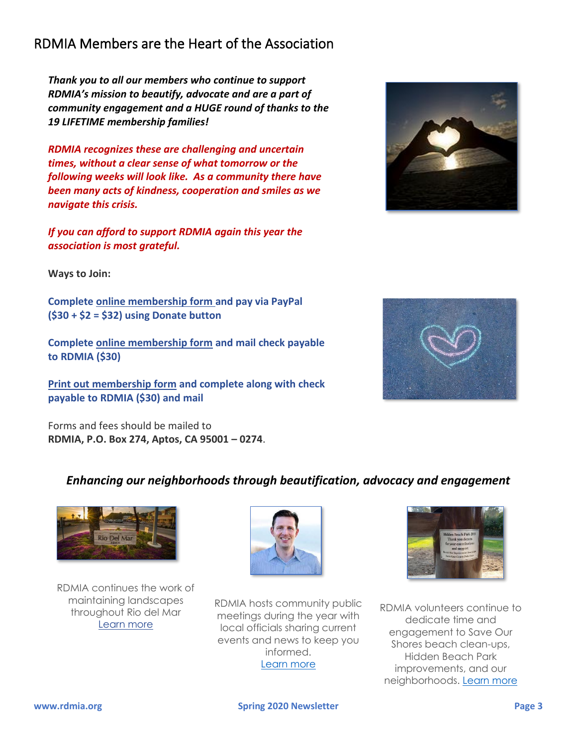# RDMIA Members are the Heart of the Association

*Thank you to all our members who continue to support RDMIA's mission to beautify, advocate and are a part of community engagement and a HUGE round of thanks to the 19 LIFETIME membership families!*

*RDMIA recognizes these are challenging and uncertain times, without a clear sense of what tomorrow or the following weeks will look like. As a community there have been many acts of kindness, cooperation and smiles as we navigate this crisis.*

*If you can afford to support RDMIA again this year the association is most grateful.* 

**Ways to Join:**

**Complete [online membership form](https://www.rdmia.org/membership-form) and pay via PayPal (\$30 + \$2 = \$32) using Donate button**

**Complete [online membership form](https://www.rdmia.org/membership-form) and mail check payable to RDMIA (\$30)**

**[Print out membership form](https://docs.wixstatic.com/ugd/c30a45_5c1134816cc14ce9a0041daf93c506b6.pdf) and complete along with check payable to RDMIA (\$30) and mail**

Forms and fees should be mailed to **RDMIA, P.O. Box 274, Aptos, CA 95001 – 0274**.

RDMIA continues the work of maintaining landscapes throughout Rio del Mar [Learn more](https://www.rdmia.org/projects)

# *Enhancing our neighborhoods through beautification, advocacy and engagement*





RDMIA volunteers continue to dedicate time and engagement to Save Our Shores beach clean-ups, Hidden Beach Park improvements, and our neighborhoods. [Learn more](https://www.rdmia.org/news) 



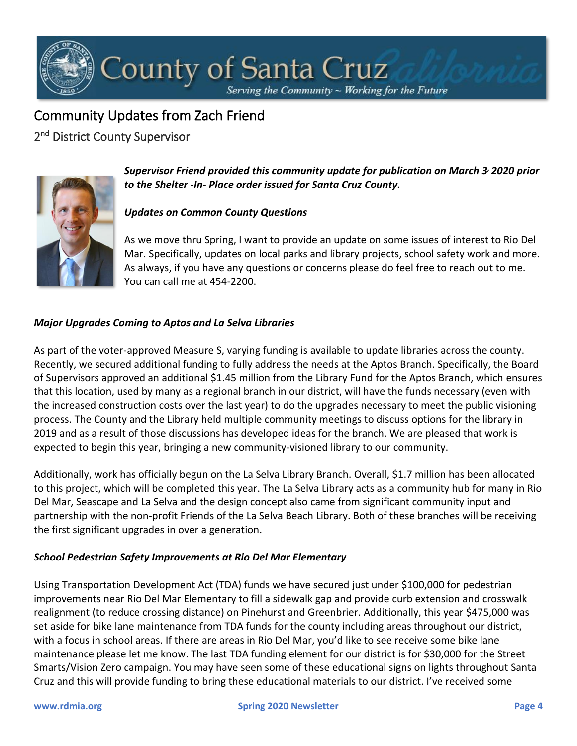# County of Santa Cruz

Serving the Community ~ Working for the Future

# Community Updates from Zach Friend

2<sup>nd</sup> District County Supervisor



*Supervisor Friend provided this community update for publication on March 3, 2020 prior to the Shelter -In- Place order issued for Santa Cruz County.* 

#### *Updates on Common County Questions*

As we move thru Spring, I want to provide an update on some issues of interest to Rio Del Mar. Specifically, updates on local parks and library projects, school safety work and more. As always, if you have any questions or concerns please do feel free to reach out to me. You can call me at 454-2200.

#### *Major Upgrades Coming to Aptos and La Selva Libraries*

As part of the voter-approved Measure S, varying funding is available to update libraries across the county. Recently, we secured additional funding to fully address the needs at the Aptos Branch. Specifically, the Board of Supervisors approved an additional \$1.45 million from the Library Fund for the Aptos Branch, which ensures that this location, used by many as a regional branch in our district, will have the funds necessary (even with the increased construction costs over the last year) to do the upgrades necessary to meet the public visioning process. The County and the Library held multiple community meetings to discuss options for the library in 2019 and as a result of those discussions has developed ideas for the branch. We are pleased that work is expected to begin this year, bringing a new community-visioned library to our community.

Additionally, work has officially begun on the La Selva Library Branch. Overall, \$1.7 million has been allocated to this project, which will be completed this year. The La Selva Library acts as a community hub for many in Rio Del Mar, Seascape and La Selva and the design concept also came from significant community input and partnership with the non-profit Friends of the La Selva Beach Library. Both of these branches will be receiving the first significant upgrades in over a generation.

#### *School Pedestrian Safety Improvements at Rio Del Mar Elementary*

Using Transportation Development Act (TDA) funds we have secured just under \$100,000 for pedestrian improvements near Rio Del Mar Elementary to fill a sidewalk gap and provide curb extension and crosswalk realignment (to reduce crossing distance) on Pinehurst and Greenbrier. Additionally, this year \$475,000 was set aside for bike lane maintenance from TDA funds for the county including areas throughout our district, with a focus in school areas. If there are areas in Rio Del Mar, you'd like to see receive some bike lane maintenance please let me know. The last TDA funding element for our district is for \$30,000 for the Street Smarts/Vision Zero campaign. You may have seen some of these educational signs on lights throughout Santa Cruz and this will provide funding to bring these educational materials to our district. I've received some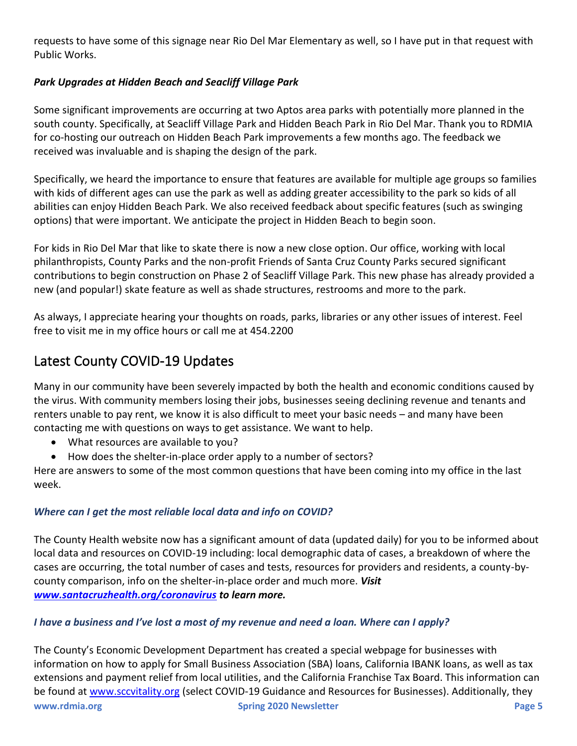requests to have some of this signage near Rio Del Mar Elementary as well, so I have put in that request with Public Works.

#### *Park Upgrades at Hidden Beach and Seacliff Village Park*

Some significant improvements are occurring at two Aptos area parks with potentially more planned in the south county. Specifically, at Seacliff Village Park and Hidden Beach Park in Rio Del Mar. Thank you to RDMIA for co-hosting our outreach on Hidden Beach Park improvements a few months ago. The feedback we received was invaluable and is shaping the design of the park.

Specifically, we heard the importance to ensure that features are available for multiple age groups so families with kids of different ages can use the park as well as adding greater accessibility to the park so kids of all abilities can enjoy Hidden Beach Park. We also received feedback about specific features (such as swinging options) that were important. We anticipate the project in Hidden Beach to begin soon.

For kids in Rio Del Mar that like to skate there is now a new close option. Our office, working with local philanthropists, County Parks and the non-profit Friends of Santa Cruz County Parks secured significant contributions to begin construction on Phase 2 of Seacliff Village Park. This new phase has already provided a new (and popular!) skate feature as well as shade structures, restrooms and more to the park.

As always, I appreciate hearing your thoughts on roads, parks, libraries or any other issues of interest. Feel free to visit me in my office hours or call me at 454.2200

# Latest County COVID-19 Updates

Many in our community have been severely impacted by both the health and economic conditions caused by the virus. With community members losing their jobs, businesses seeing declining revenue and tenants and renters unable to pay rent, we know it is also difficult to meet your basic needs – and many have been contacting me with questions on ways to get assistance. We want to help.

- What resources are available to you?
- How does the shelter-in-place order apply to a number of sectors?

Here are answers to some of the most common questions that have been coming into my office in the last week.

#### *Where can I get the most reliable local data and info on COVID?*

The County Health website now has a significant amount of data (updated daily) for you to be informed about local data and resources on COVID-19 including: local demographic data of cases, a breakdown of where the cases are occurring, the total number of cases and tests, resources for providers and residents, a county-bycounty comparison, info on the shelter-in-place order and much more. *Visit [www.santacruzhealth.org/coronavirus](https://nam10.safelinks.protection.outlook.com/?url=http%3A%2F%2Fwww.santacruzhealth.org%2Fcoronavirus&data=02%7C01%7C%7C51b4b9a2a4524bce363d08d7e5a7df89%7C84df9e7fe9f640afb435aaaaaaaaaaaa%7C1%7C0%7C637230381482524351&sdata=bomV305J5d%2FA7kP6mB8y69C1KZUBEgS7xN6c7ChFN4A%3D&reserved=0) to learn more.*

#### *I have a business and I've lost a most of my revenue and need a loan. Where can I apply?*

**www.rdmia.org Spring 2020 Newsletter Page 5** The County's Economic Development Department has created a special webpage for businesses with information on how to apply for Small Business Association (SBA) loans, California IBANK loans, as well as tax extensions and payment relief from local utilities, and the California Franchise Tax Board. This information can be found at [www.sccvitality.org](https://nam10.safelinks.protection.outlook.com/?url=http%3A%2F%2Fwww.sccvitality.org%2F&data=02%7C01%7C%7C51b4b9a2a4524bce363d08d7e5a7df89%7C84df9e7fe9f640afb435aaaaaaaaaaaa%7C1%7C0%7C637230381482534348&sdata=oznR3pMmz3O1yiwbx85NjJbmHKn2Ypz%2FskkicmSwiCs%3D&reserved=0) (select COVID-19 Guidance and Resources for Businesses). Additionally, they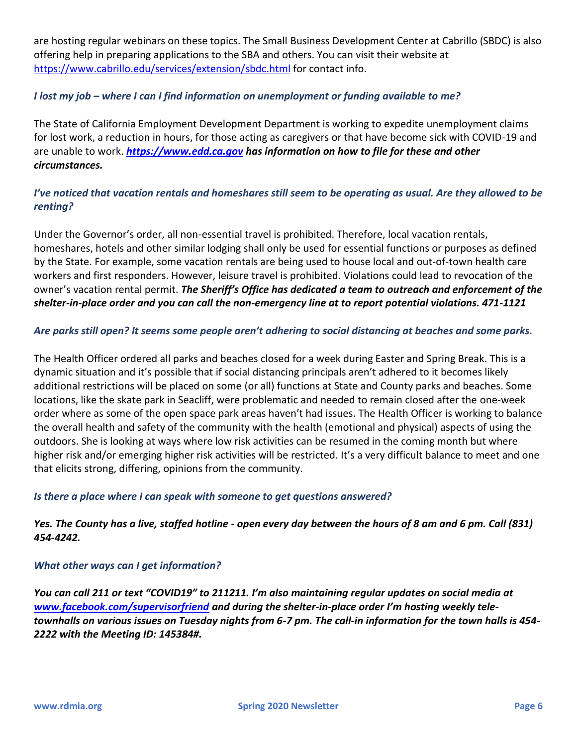are hosting regular webinars on these topics. The Small Business Development Center at Cabrillo (SBDC) is also offering help in preparing applications to the SBA and others. You can visit their website at [https://www.cabrillo.edu/services/extension/sbdc.html](https://nam10.safelinks.protection.outlook.com/?url=https%3A%2F%2Fwww.cabrillo.edu%2Fservices%2Fextension%2Fsbdc.html&data=02%7C01%7C%7C51b4b9a2a4524bce363d08d7e5a7df89%7C84df9e7fe9f640afb435aaaaaaaaaaaa%7C1%7C0%7C637230381482534348&sdata=ydRu3YfM%2FGYiJPlHspWwoEpEpCbEG6T%2BTDBo%2F5ybTGo%3D&reserved=0) for contact info.

#### *I lost my job – where I can I find information on unemployment or funding available to me?*

The State of California Employment Development Department is working to expedite unemployment claims for lost work, a reduction in hours, for those acting as caregivers or that have become sick with COVID-19 and are unable to work. *[https://www.edd.ca.gov](https://nam10.safelinks.protection.outlook.com/?url=https%3A%2F%2Fwww.edd.ca.gov%2F&data=02%7C01%7C%7C51b4b9a2a4524bce363d08d7e5a7df89%7C84df9e7fe9f640afb435aaaaaaaaaaaa%7C1%7C0%7C637230381482534348&sdata=lI2SvweiyapJ%2BxPTm9cGAXC82uZ5qG%2BZ8uNfXSVIp9k%3D&reserved=0) has information on how to file for these and other circumstances.*

#### *I've noticed that vacation rentals and homeshares still seem to be operating as usual. Are they allowed to be renting?*

Under the Governor's order, all non-essential travel is prohibited. Therefore, local vacation rentals, homeshares, hotels and other similar lodging shall only be used for essential functions or purposes as defined by the State. For example, some vacation rentals are being used to house local and out-of-town health care workers and first responders. However, leisure travel is prohibited. Violations could lead to revocation of the owner's vacation rental permit. *The Sheriff's Office has dedicated a team to outreach and enforcement of the shelter-in-place order and you can call the non-emergency line at to report potential violations. 471-1121*

#### *Are parks still open? It seems some people aren't adhering to social distancing at beaches and some parks.*

The Health Officer ordered all parks and beaches closed for a week during Easter and Spring Break. This is a dynamic situation and it's possible that if social distancing principals aren't adhered to it becomes likely additional restrictions will be placed on some (or all) functions at State and County parks and beaches. Some locations, like the skate park in Seacliff, were problematic and needed to remain closed after the one-week order where as some of the open space park areas haven't had issues. The Health Officer is working to balance the overall health and safety of the community with the health (emotional and physical) aspects of using the outdoors. She is looking at ways where low risk activities can be resumed in the coming month but where higher risk and/or emerging higher risk activities will be restricted. It's a very difficult balance to meet and one that elicits strong, differing, opinions from the community.

#### *Is there a place where I can speak with someone to get questions answered?*

#### *Yes. The County has a live, staffed hotline - open every day between the hours of 8 am and 6 pm. Call (831) 454-4242.*

#### *What other ways can I get information?*

*You can call 211 or text "COVID19" to 211211. I'm also maintaining regular updates on social media at [www.facebook.com/supervisorfriend](https://nam10.safelinks.protection.outlook.com/?url=http%3A%2F%2Fwww.facebook.com%2Fsupervisorfriend&data=02%7C01%7C%7C51b4b9a2a4524bce363d08d7e5a7df89%7C84df9e7fe9f640afb435aaaaaaaaaaaa%7C1%7C0%7C637230381482544339&sdata=qlXizweLypz4rOdp3oABRRQAKLpKwExkmZjDCLj8ohk%3D&reserved=0) and during the shelter-in-place order I'm hosting weekly teletownhalls on various issues on Tuesday nights from 6-7 pm. The call-in information for the town halls is 454- 2222 with the Meeting ID: 145384#.*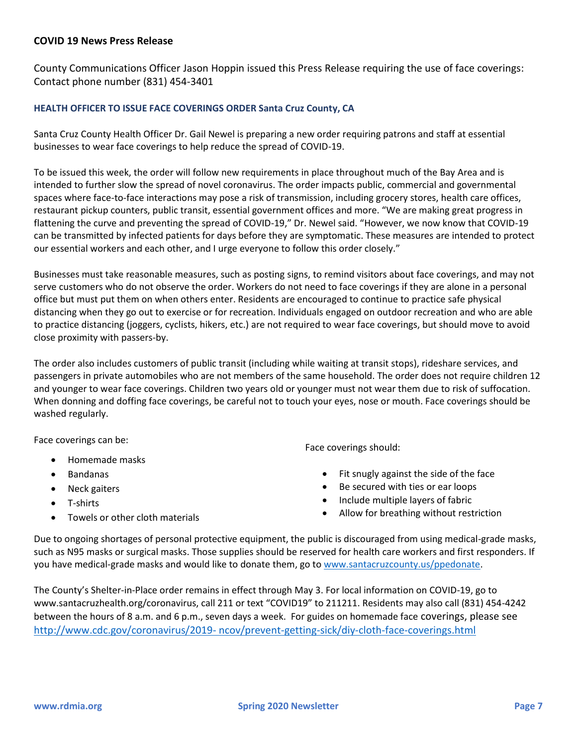#### **COVID 19 News Press Release**

County Communications Officer Jason Hoppin issued this Press Release requiring the use of face coverings: Contact phone number (831) 454-3401

#### **HEALTH OFFICER TO ISSUE FACE COVERINGS ORDER Santa Cruz County, CA**

Santa Cruz County Health Officer Dr. Gail Newel is preparing a new order requiring patrons and staff at essential businesses to wear face coverings to help reduce the spread of COVID-19.

To be issued this week, the order will follow new requirements in place throughout much of the Bay Area and is intended to further slow the spread of novel coronavirus. The order impacts public, commercial and governmental spaces where face-to-face interactions may pose a risk of transmission, including grocery stores, health care offices, restaurant pickup counters, public transit, essential government offices and more. "We are making great progress in flattening the curve and preventing the spread of COVID-19," Dr. Newel said. "However, we now know that COVID-19 can be transmitted by infected patients for days before they are symptomatic. These measures are intended to protect our essential workers and each other, and I urge everyone to follow this order closely."

Businesses must take reasonable measures, such as posting signs, to remind visitors about face coverings, and may not serve customers who do not observe the order. Workers do not need to face coverings if they are alone in a personal office but must put them on when others enter. Residents are encouraged to continue to practice safe physical distancing when they go out to exercise or for recreation. Individuals engaged on outdoor recreation and who are able to practice distancing (joggers, cyclists, hikers, etc.) are not required to wear face coverings, but should move to avoid close proximity with passers-by.

The order also includes customers of public transit (including while waiting at transit stops), rideshare services, and passengers in private automobiles who are not members of the same household. The order does not require children 12 and younger to wear face coverings. Children two years old or younger must not wear them due to risk of suffocation. When donning and doffing face coverings, be careful not to touch your eyes, nose or mouth. Face coverings should be washed regularly.

Face coverings can be:

- Homemade masks
- Bandanas
- Neck gaiters
- T-shirts
- Towels or other cloth materials

Face coverings should:

- Fit snugly against the side of the face
- Be secured with ties or ear loops
- Include multiple layers of fabric
- Allow for breathing without restriction

Due to ongoing shortages of personal protective equipment, the public is discouraged from using medical-grade masks, such as N95 masks or surgical masks. Those supplies should be reserved for health care workers and first responders. If you have medical-grade masks and would like to donate them, go to [www.santacruzcounty.us/ppedonate.](http://www.santacruzcounty.us/ppedonate)

The County's Shelter-in-Place order remains in effect through May 3. For local information on COVID-19, go to www.santacruzhealth.org/coronavirus, call 211 or text "COVID19" to 211211. Residents may also call (831) 454-4242 between the hours of 8 a.m. and 6 p.m., seven days a week. For guides on homemade face coverings, please see http://www.cdc.gov/coronavirus/2019- [ncov/prevent-getting-sick/diy-cloth-face-coverings.html](http://www.cdc.gov/coronavirus/2019-%20ncov/prevent-getting-sick/diy-cloth-face-coverings.html)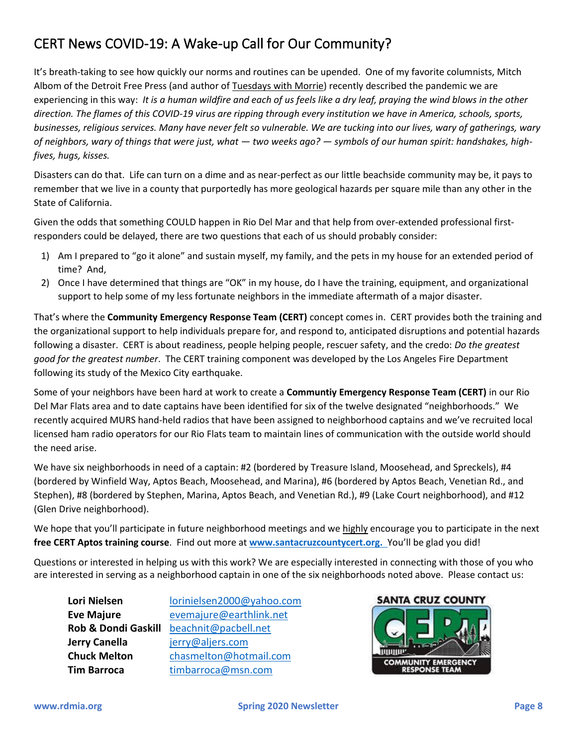# CERT News COVID-19: A Wake-up Call for Our Community?

It's breath-taking to see how quickly our norms and routines can be upended. One of my favorite columnists, Mitch Albom of the Detroit Free Press (and author of Tuesdays with Morrie) recently described the pandemic we are experiencing in this way: *It is a human wildfire and each of us feels like a dry leaf, praying the wind blows in the other direction. The flames of this COVID-19 virus are ripping through every institution we have in America, schools, sports, businesses, religious services. Many have never felt so vulnerable. We are tucking into our lives, wary of gatherings, wary of neighbors, wary of things that were just, what — two weeks ago? — symbols of our human spirit: handshakes, highfives, hugs, kisses.*

Disasters can do that. Life can turn on a dime and as near-perfect as our little beachside community may be, it pays to remember that we live in a county that purportedly has more geological hazards per square mile than any other in the State of California.

Given the odds that something COULD happen in Rio Del Mar and that help from over-extended professional firstresponders could be delayed, there are two questions that each of us should probably consider:

- 1) Am I prepared to "go it alone" and sustain myself, my family, and the pets in my house for an extended period of time? And,
- 2) Once I have determined that things are "OK" in my house, do I have the training, equipment, and organizational support to help some of my less fortunate neighbors in the immediate aftermath of a major disaster.

That's where the **Community Emergency Response Team (CERT)** concept comes in. CERT provides both the training and the organizational support to help individuals prepare for, and respond to, anticipated disruptions and potential hazards following a disaster. CERT is about readiness, people helping people, rescuer safety, and the credo: *Do the greatest good for the greatest number*. The CERT training component was developed by the Los Angeles Fire Department following its study of the Mexico City earthquake.

Some of your neighbors have been hard at work to create a **Communtiy Emergency Response Team (CERT)** in our Rio Del Mar Flats area and to date captains have been identified for six of the twelve designated "neighborhoods." We recently acquired MURS hand-held radios that have been assigned to neighborhood captains and we've recruited local licensed ham radio operators for our Rio Flats team to maintain lines of communication with the outside world should the need arise.

We have six neighborhoods in need of a captain: #2 (bordered by Treasure Island, Moosehead, and Spreckels), #4 (bordered by Winfield Way, Aptos Beach, Moosehead, and Marina), #6 (bordered by Aptos Beach, Venetian Rd., and Stephen), #8 (bordered by Stephen, Marina, Aptos Beach, and Venetian Rd.), #9 (Lake Court neighborhood), and #12 (Glen Drive neighborhood).

We hope that you'll participate in future neighborhood meetings and we highly encourage you to participate in the next **free CERT Aptos training course**. Find out more at **[www.santacruzcountycert.org.](http://www.santacruzcountycert.org/)** You'll be glad you did!

Questions or interested in helping us with this work? We are especially interested in connecting with those of you who are interested in serving as a neighborhood captain in one of the six neighborhoods noted above. Please contact us:

| Lori Nielsen                   | lorinielsen2000@yahoo.com |
|--------------------------------|---------------------------|
| <b>Eve Majure</b>              | evemajure@earthlink.net   |
| <b>Rob &amp; Dondi Gaskill</b> | beachnit@pacbell.net      |
| Jerry Canella                  | jerry@aljers.com          |
| <b>Chuck Melton</b>            | chasmelton@hotmail.com    |
| <b>Tim Barroca</b>             | timbarroca@msn.com        |

**SANTA CRUZ COUNTY COMMUNITY EMERGENC TEAN**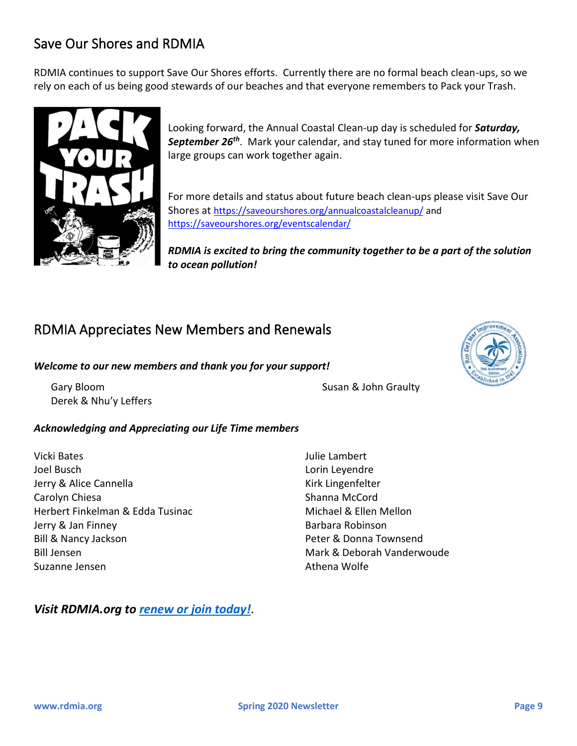# Save Our Shores and RDMIA

RDMIA continues to support Save Our Shores efforts. Currently there are no formal beach clean-ups, so we rely on each of us being good stewards of our beaches and that everyone remembers to Pack your Trash.



Looking forward, the Annual Coastal Clean-up day is scheduled for *Saturday, September 26th*. Mark your calendar, and stay tuned for more information when large groups can work together again.

For more details and status about future beach clean-ups please visit Save Our Shores at <https://saveourshores.org/annualcoastalcleanup/> and <https://saveourshores.org/eventscalendar/>

*RDMIA is excited to bring the community together to be a part of the solution to ocean pollution!* 

# RDMIA Appreciates New Members and Renewals

#### *Welcome to our new members and thank you for your support!*

Gary Bloom Derek & Nhu'y Leffers

Susan & John Graulty

#### *Acknowledging and Appreciating our Life Time members*

Vicki Bates Joel Busch Jerry & Alice Cannella Carolyn Chiesa Herbert Finkelman & Edda Tusinac Jerry & Jan Finney Bill & Nancy Jackson Bill Jensen Suzanne Jensen

Julie Lambert Lorin Leyendre Kirk Lingenfelter Shanna McCord Michael & Ellen Mellon Barbara Robinson Peter & Donna Townsend Mark & Deborah Vanderwoude Athena Wolfe

#### *Visit RDMIA.org to [renew or join today!](https://www.rdmia.org/join)*.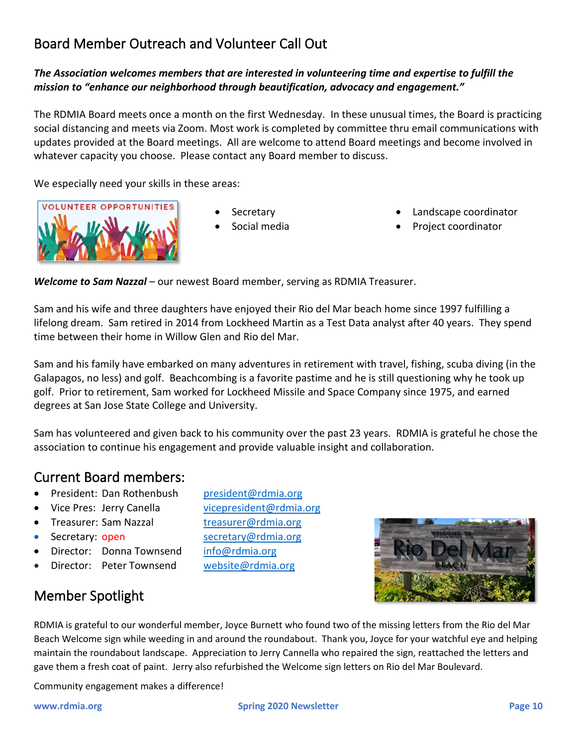# Board Member Outreach and Volunteer Call Out

#### *The Association welcomes members that are interested in volunteering time and expertise to fulfill the mission to "enhance our neighborhood through beautification, advocacy and engagement."*

The RDMIA Board meets once a month on the first Wednesday. In these unusual times, the Board is practicing social distancing and meets via Zoom. Most work is completed by committee thru email communications with updates provided at the Board meetings. All are welcome to attend Board meetings and become involved in whatever capacity you choose. Please contact any Board member to discuss.

We especially need your skills in these areas:



- **Secretary**
- Social media
- Landscape coordinator
- Project coordinator

*Welcome to Sam Nazzal* – our newest Board member, serving as RDMIA Treasurer.

Sam and his wife and three daughters have enjoyed their Rio del Mar beach home since 1997 fulfilling a lifelong dream. Sam retired in 2014 from Lockheed Martin as a Test Data analyst after 40 years. They spend time between their home in Willow Glen and Rio del Mar.

Sam and his family have embarked on many adventures in retirement with travel, fishing, scuba diving (in the Galapagos, no less) and golf. Beachcombing is a favorite pastime and he is still questioning why he took up golf. Prior to retirement, Sam worked for Lockheed Missile and Space Company since 1975, and earned degrees at San Jose State College and University.

Sam has volunteered and given back to his community over the past 23 years. RDMIA is grateful he chose the association to continue his engagement and provide valuable insight and collaboration.

### Current Board members:

- President: Dan Rothenbush [president@rdmia.org](mailto:president@rdmia.org)
- Vice Pres: Jerry Canella [vicepresident@rdmia.org](mailto:vicepresident@rdmia.org)
- Treasurer: Sam Nazzal [treasurer@rdmia.org](mailto:treasurer@rdmia.org)
- 
- Director: Donna Townsend [info@rdmia.org](mailto:info@rdmia.org)
- Director: Peter Townsend [website@rdmia.org](mailto:website@rdmia.org)

Member Spotlight

**Secretary: open** [secretary@rdmia.org](mailto:secretary@rdmia.org)



RDMIA is grateful to our wonderful member, Joyce Burnett who found two of the missing letters from the Rio del Mar Beach Welcome sign while weeding in and around the roundabout. Thank you, Joyce for your watchful eye and helping maintain the roundabout landscape. Appreciation to Jerry Cannella who repaired the sign, reattached the letters and gave them a fresh coat of paint. Jerry also refurbished the Welcome sign letters on Rio del Mar Boulevard.

Community engagement makes a difference!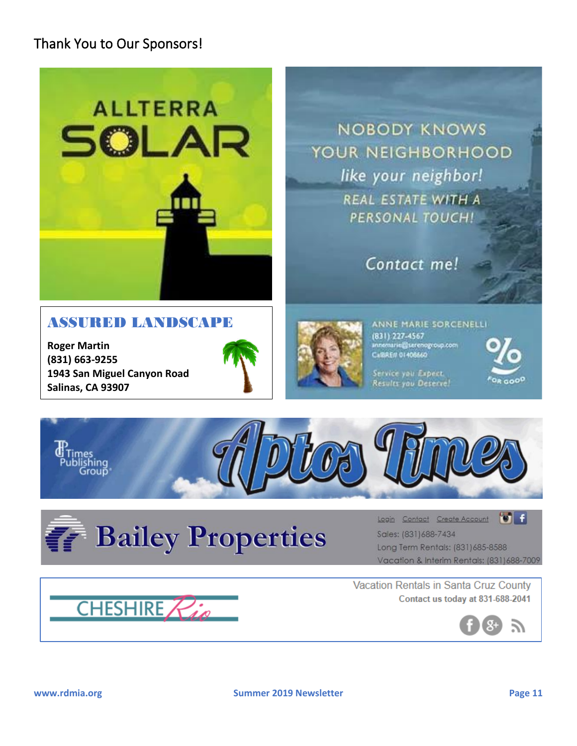# Thank You to Our Sponsors!



**NOBODY KNOWS** YOUR NEIGHBORHOOD like your neighbor! **REAL ESTATE WITH A** PERSONAL TOUCH!

Contact me!

### ASSURED LANDSCAPE

**Roger Martin (831) 663-9255 1943 San Miguel Canyon Road Salinas, CA 93907**





ANNE MARIE SORCENELLI (831) 227-4567 **CARREN 01406560** 

Service you Expect. Results you Deserve!







Login Contact Create Account <sup>10</sup> Sales: (831)688-7434 Long Term Rentals: (831) 685-8588 Vacation & Interim Rentals: (831) 688-7009

Vacation Rentals in Santa Cruz County Contact us today at 831-688-2041